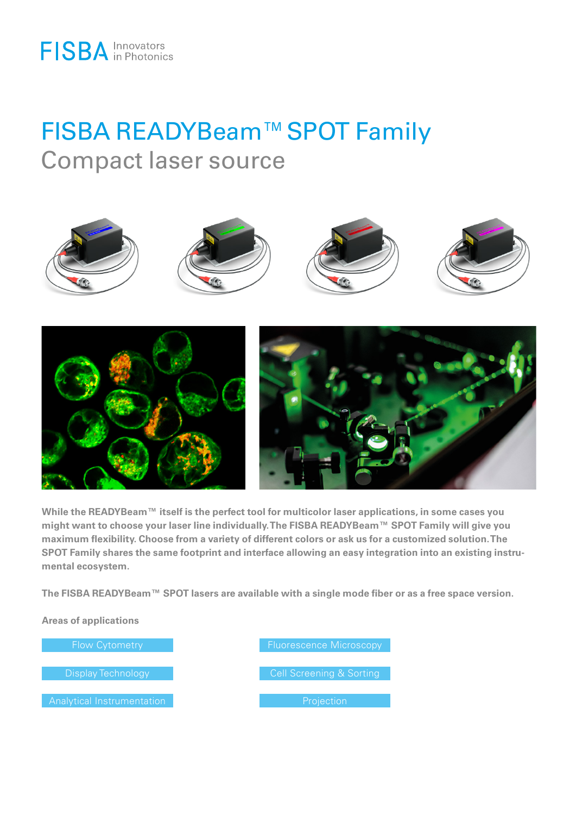## FISBA READYBeam™SPOT Family Compact laser source



**While the READYBeam™ itself is the perfect tool for multicolor laser applications, in some cases you might want to choose your laser line individually. The FISBA READYBeam™ SPOT Family will give you maximum flexibility. Choose from a variety of different colors or ask us for a customized solution. The SPOT Family shares the same footprint and interface allowing an easy integration into an existing instrumental ecosystem.**

**The FISBA READYBeam™ SPOT lasers are available with a single mode fiber or as a free space version.**

**Areas of applications** 

Display Technology

Flow Cytometry Fluorescence Microscopy Cell Screening & Sorting **Projection**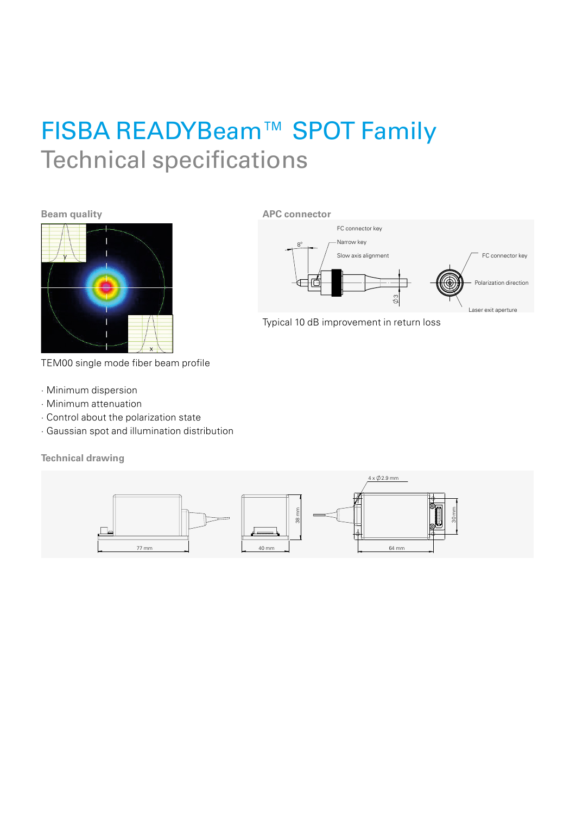## FISBA READYBeam™ SPOT Family Technical specifications

**APC connector**

**Beam quality** 



TEM00 single mode fiber beam profile

- · Minimum dispersion
- · Minimum attenuation
- · Control about the polarization state
- · Gaussian spot and illumination distribution

**Technical drawing**



1 2 5 6 7 8 Typical 10 dB improvement in return loss

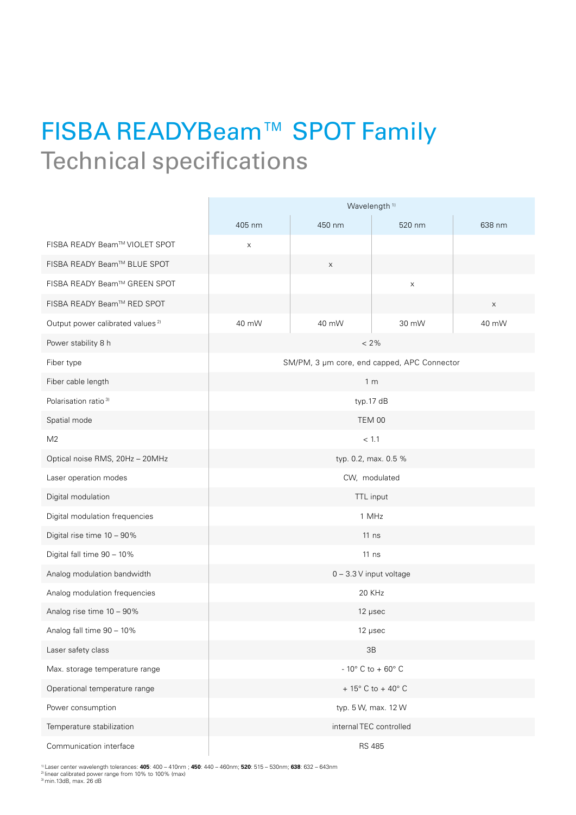## FISBA READYBeam™ SPOT Family Technical specifications

|                                              | Wavelength <sup>1)</sup>                    |        |        |        |
|----------------------------------------------|---------------------------------------------|--------|--------|--------|
|                                              | 405 nm                                      | 450 nm | 520 nm | 638 nm |
| FISBA READY Beam™ VIOLET SPOT                | $\mathsf X$                                 |        |        |        |
| FISBA READY Beam™ BLUE SPOT                  |                                             | X      |        |        |
| FISBA READY Beam™ GREEN SPOT                 |                                             |        | X      |        |
| FISBA READY Beam™ RED SPOT                   |                                             |        |        | X      |
| Output power calibrated values <sup>2)</sup> | 40 mW                                       | 40 mW  | 30 mW  | 40 mW  |
| Power stability 8 h                          | $<2\%$                                      |        |        |        |
| Fiber type                                   | SM/PM, 3 µm core, end capped, APC Connector |        |        |        |
| Fiber cable length                           | 1 <sub>m</sub>                              |        |        |        |
| Polarisation ratio <sup>3)</sup>             | typ.17 dB                                   |        |        |        |
| Spatial mode                                 | <b>TEM 00</b>                               |        |        |        |
| M <sub>2</sub>                               | < 1.1                                       |        |        |        |
| Optical noise RMS, 20Hz - 20MHz              | typ. 0.2, max. 0.5 %                        |        |        |        |
| Laser operation modes                        | CW, modulated                               |        |        |        |
| Digital modulation                           | TTL input                                   |        |        |        |
| Digital modulation frequencies               | 1 MHz                                       |        |        |        |
| Digital rise time 10 - 90%                   | $11$ ns                                     |        |        |        |
| Digital fall time 90 - 10%                   | $11$ ns                                     |        |        |        |
| Analog modulation bandwidth                  | 0 - 3.3 V input voltage                     |        |        |        |
| Analog modulation frequencies                | 20 KHz                                      |        |        |        |
| Analog rise time 10 - 90%                    | 12 µsec                                     |        |        |        |
| Analog fall time 90 - 10%                    | 12 µsec                                     |        |        |        |
| Laser safety class                           | 3B                                          |        |        |        |
| Max. storage temperature range               | - 10 $^{\circ}$ C to + 60 $^{\circ}$ C      |        |        |        |
| Operational temperature range                | + $15^{\circ}$ C to + $40^{\circ}$ C        |        |        |        |
| Power consumption                            | typ. 5 W, max. 12 W                         |        |        |        |
| Temperature stabilization                    | internal TEC controlled                     |        |        |        |
| Communication interface                      | <b>RS 485</b>                               |        |        |        |

<sup>1)</sup> Laser center wavelength tolerances: **405**: 400 – 410nm ; **450**: 440 – 460nm; **520**: 515 – 530nm; **638**: 632 – 643nm<br><sup>2)</sup> iniear calibrated power range from 10% to 100% (max)<br><sup>3)</sup> min.13dB, max. 26 dB